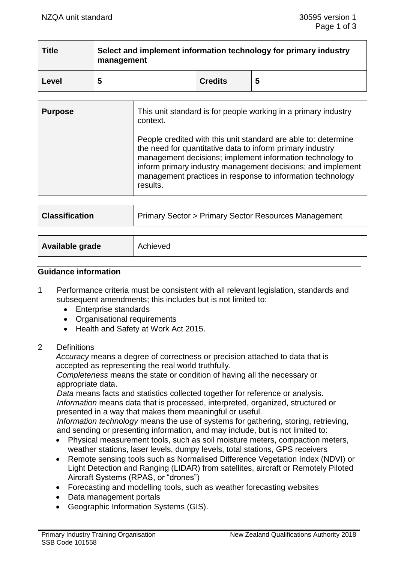| <b>Title</b> | Select and implement information technology for primary industry<br>management |                |   |
|--------------|--------------------------------------------------------------------------------|----------------|---|
| Level        | 5                                                                              | <b>Credits</b> | 5 |

| <b>Purpose</b> | This unit standard is for people working in a primary industry<br>context.                                                                                                                                                                                                                                                        |
|----------------|-----------------------------------------------------------------------------------------------------------------------------------------------------------------------------------------------------------------------------------------------------------------------------------------------------------------------------------|
|                | People credited with this unit standard are able to: determine<br>the need for quantitative data to inform primary industry<br>management decisions; implement information technology to<br>inform primary industry management decisions; and implement<br>management practices in response to information technology<br>results. |
|                |                                                                                                                                                                                                                                                                                                                                   |
|                |                                                                                                                                                                                                                                                                                                                                   |

| <b>Classification</b> | <b>Primary Sector &gt; Primary Sector Resources Management</b> |
|-----------------------|----------------------------------------------------------------|
|                       |                                                                |
| Available grade       | Achieved                                                       |

### **Guidance information**

- 1 Performance criteria must be consistent with all relevant legislation, standards and subsequent amendments; this includes but is not limited to:
	- Enterprise standards
	- Organisational requirements
	- Health and Safety at Work Act 2015.
- 2 Definitions

*Accuracy* means a degree of correctness or precision attached to data that is accepted as representing the real world truthfully.

*Completeness* means the state or condition of having all the necessary or appropriate data.

*Data* means facts and statistics collected together for reference or analysis. *Information* means data that is processed, interpreted, organized, structured or presented in a way that makes them meaningful or useful.

*Information technology* means the use of systems for gathering, storing, retrieving, and sending or presenting information, and may include, but is not limited to:

- Physical measurement tools, such as soil moisture meters, compaction meters, weather stations, laser levels, dumpy levels, total stations, GPS receivers
- Remote sensing tools such as Normalised Difference Vegetation Index (NDVI) or Light Detection and Ranging (LIDAR) from satellites, aircraft or Remotely Piloted Aircraft Systems (RPAS, or "drones")
- Forecasting and modelling tools, such as weather forecasting websites
- Data management portals
- Geographic Information Systems (GIS).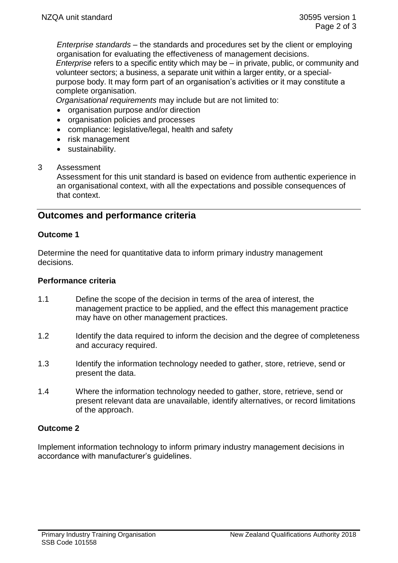*Enterprise standards* – the standards and procedures set by the client or employing organisation for evaluating the effectiveness of management decisions.

*Enterprise* refers to a specific entity which may be – in private, public, or community and volunteer sectors; a business, a separate unit within a larger entity, or a specialpurpose body. It may form part of an organisation's activities or it may constitute a complete organisation.

*Organisational requirements* may include but are not limited to:

- organisation purpose and/or direction
- organisation policies and processes
- compliance: legislative/legal, health and safety
- risk management
- sustainability.

### 3 Assessment

Assessment for this unit standard is based on evidence from authentic experience in an organisational context, with all the expectations and possible consequences of that context.

# **Outcomes and performance criteria**

### **Outcome 1**

Determine the need for quantitative data to inform primary industry management decisions.

#### **Performance criteria**

- 1.1 Define the scope of the decision in terms of the area of interest, the management practice to be applied, and the effect this management practice may have on other management practices.
- 1.2 Identify the data required to inform the decision and the degree of completeness and accuracy required.
- 1.3 Identify the information technology needed to gather, store, retrieve, send or present the data.
- 1.4 Where the information technology needed to gather, store, retrieve, send or present relevant data are unavailable, identify alternatives, or record limitations of the approach.

## **Outcome 2**

Implement information technology to inform primary industry management decisions in accordance with manufacturer's guidelines.